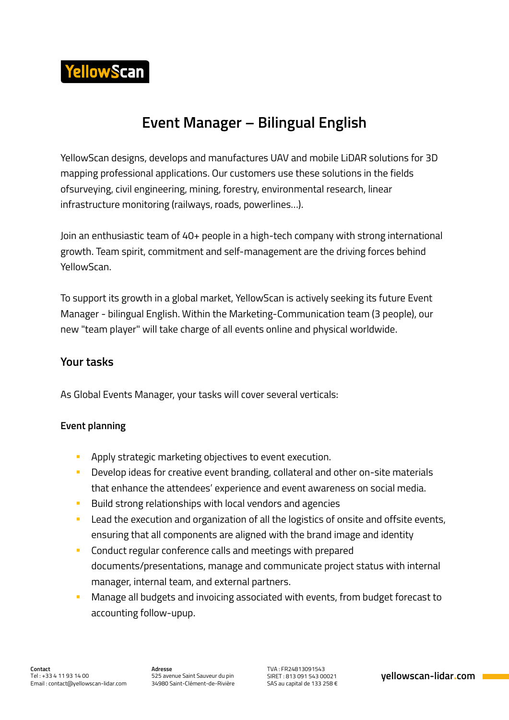

## **Event Manager – Bilingual English**

YellowScan designs, develops and manufactures UAV and mobile LiDAR solutions for 3D mapping professional applications. Our customers use these solutions in the fields ofsurveying, civil engineering, mining, forestry, environmental research, linear infrastructure monitoring (railways, roads, powerlines…).

Join an enthusiastic team of 40+ people in a high-tech company with strong international growth. Team spirit, commitment and self-management are the driving forces behind YellowScan.

To support its growth in a global market, YellowScan is actively seeking its future Event Manager - bilingual English. Within the Marketing-Communication team (3 people), our new "team player" will take charge of all events online and physical worldwide.

## **Your tasks**

As Global Events Manager, your tasks will cover several verticals:

#### **Event planning**

- **Apply strategic marketing objectives to event execution.**
- **Develop ideas for creative event branding, collateral and other on-site materials** that enhance the attendees' experience and event awareness on social media.
- **Build strong relationships with local vendors and agencies**
- **Lead the execution and organization of all the logistics of onsite and offsite events,** ensuring that all components are aligned with the brand image and identity
- **EXECONDUCT CONTEX CONFERGATES** CONTEX **CONTEX CONTEX CONTEX CONTEX CONTEX CONTEX CONTEX CONTEX CONTEX CONTEX CONTEX CONTEX CONTEX CONTEX CONTEX CONTEX CONTEX CONTEX CONTEX CONTEX CONTEX CONTEX CONTEX CONTEX CONTEX CONTEX** documents/presentations, manage and communicate project status with internal manager, internal team, and external partners.
- **Manage all budgets and invoicing associated with events, from budget forecast to** accounting follow-upup.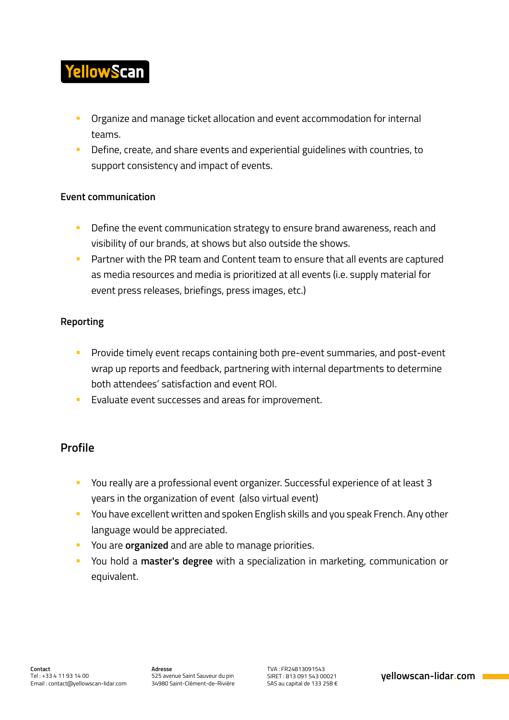# **YellowScan**

- Organize and manage ticket allocation and event accommodation for internal teams.
- **Define, create, and share events and experiential guidelines with countries, to** support consistency and impact of events.

#### **Event communication**

- **Define the event communication strategy to ensure brand awareness, reach and** visibility of our brands, at shows but also outside the shows.
- **Partner with the PR team and Content team to ensure that all events are captured** as media resources and media is prioritized at all events (i.e. supply material for event press releases, briefings, press images, etc.)

### **Reporting**

- **Provide timely event recaps containing both pre-event summaries, and post-event** wrap up reports and feedback, partnering with internal departments to determine both attendees' satisfaction and event ROI.
- **Evaluate event successes and areas for improvement.**

## **Profile**

- You really are a professional event organizer. Successful experience of at least 3 years in the organization of event (also virtual event)
- **You have excellent written and spoken English skills and you speak French. Any other** language would be appreciated.
- You are **organized** and are able to manage priorities.
- You hold a **master's degree** with a specialization in marketing, communication or equivalent.